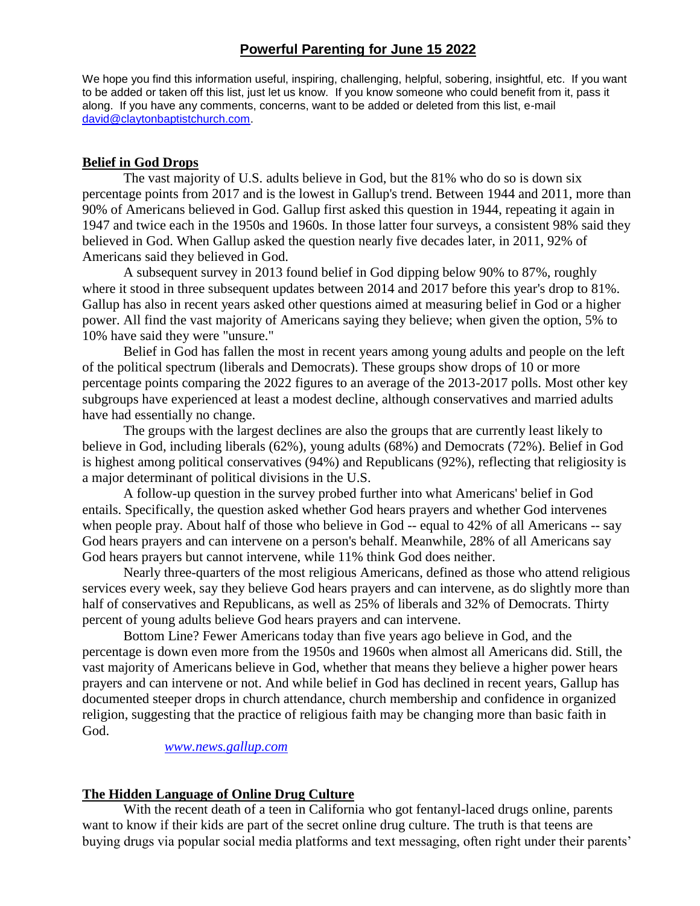## **Powerful Parenting for June 15 2022**

We hope you find this information useful, inspiring, challenging, helpful, sobering, insightful, etc. If you want to be added or taken off this list, just let us know. If you know someone who could benefit from it, pass it along. If you have any comments, concerns, want to be added or deleted from this list, e-mail [david@claytonbaptistchurch.com.](mailto:david@claytonbaptistchurch.com)

## **Belief in God Drops**

The vast majority of U.S. adults believe in God, but the 81% who do so is down six percentage points from 2017 and is the lowest in Gallup's trend. Between 1944 and 2011, more than 90% of Americans believed in God. Gallup first asked this question in 1944, repeating it again in 1947 and twice each in the 1950s and 1960s. In those latter four surveys, a consistent 98% said they believed in God. When Gallup asked the question nearly five decades later, in 2011, 92% of Americans said they believed in God.

A subsequent survey in 2013 found belief in God dipping below 90% to 87%, roughly where it stood in three subsequent updates between 2014 and 2017 before this year's drop to 81%. Gallup has also in recent years asked other questions aimed at measuring belief in God or a higher power. All find the vast majority of Americans saying they believe; when given the option, 5% to 10% have said they were "unsure."

Belief in God has fallen the most in recent years among young adults and people on the left of the political spectrum (liberals and Democrats). These groups show drops of 10 or more percentage points comparing the 2022 figures to an average of the 2013-2017 polls. Most other key subgroups have experienced at least a modest decline, although conservatives and married adults have had essentially no change.

The groups with the largest declines are also the groups that are currently least likely to believe in God, including liberals (62%), young adults (68%) and Democrats (72%). Belief in God is highest among political conservatives (94%) and Republicans (92%), reflecting that religiosity is a major determinant of political divisions in the U.S.

A follow-up question in the survey probed further into what Americans' belief in God entails. Specifically, the question asked whether God hears prayers and whether God intervenes when people pray. About half of those who believe in God -- equal to 42% of all Americans -- say God hears prayers and can intervene on a person's behalf. Meanwhile, 28% of all Americans say God hears prayers but cannot intervene, while 11% think God does neither.

Nearly three-quarters of the most religious Americans, defined as those who attend religious services every week, say they believe God hears prayers and can intervene, as do slightly more than half of conservatives and Republicans, as well as 25% of liberals and 32% of Democrats. Thirty percent of young adults believe God hears prayers and can intervene.

Bottom Line? Fewer Americans today than five years ago believe in God, and the percentage is down even more from the 1950s and 1960s when almost all Americans did. Still, the vast majority of Americans believe in God, whether that means they believe a higher power hears prayers and can intervene or not. And while belief in God has declined in recent years, Gallup has documented steeper drops in church attendance, church membership and confidence in organized religion, suggesting that the practice of religious faith may be changing more than basic faith in God.

*[www.news.gallup.com](http://www.news.gallup.com/)*

## **The Hidden Language of Online Drug Culture**

With the recent death of a teen in California who got fentanyl-laced drugs online, parents want to know if their kids are part of the secret online drug culture. The truth is that teens are buying drugs via popular social media platforms and text messaging, often right under their parents'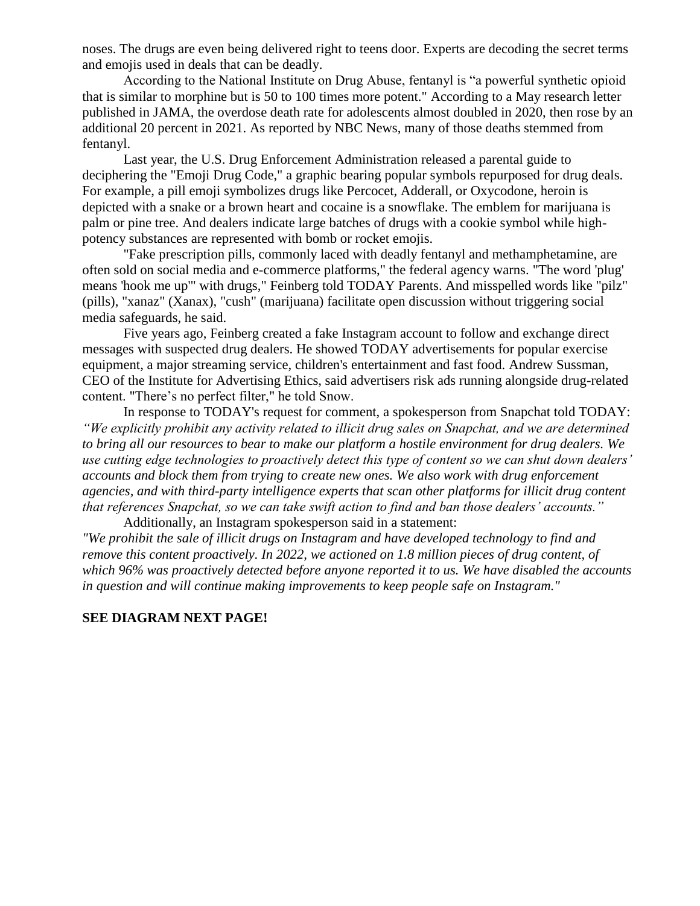noses. The drugs are even being delivered right to teens door. Experts are decoding the secret terms and emojis used in deals that can be deadly.

According to the National Institute on Drug Abuse, fentanyl is "a powerful synthetic opioid that is similar to morphine but is 50 to 100 times more potent." According to a May research letter published in JAMA, the overdose death rate for adolescents almost doubled in 2020, then rose by an additional 20 percent in 2021. As reported by NBC News, many of those deaths stemmed from fentanyl.

Last year, the U.S. Drug Enforcement Administration released a parental guide to deciphering the "Emoji Drug Code," a graphic bearing popular symbols repurposed for drug deals. For example, a pill emoji symbolizes drugs like Percocet, Adderall, or Oxycodone, heroin is depicted with a snake or a brown heart and cocaine is a snowflake. The emblem for marijuana is palm or pine tree. And dealers indicate large batches of drugs with a cookie symbol while highpotency substances are represented with bomb or rocket emojis.

"Fake prescription pills, commonly laced with deadly fentanyl and methamphetamine, are often sold on social media and e-commerce platforms," the federal agency warns. "The word 'plug' means 'hook me up'" with drugs," Feinberg told TODAY Parents. And misspelled words like "pilz" (pills), "xanaz" (Xanax), "cush" (marijuana) facilitate open discussion without triggering social media safeguards, he said.

Five years ago, Feinberg created a fake Instagram account to follow and exchange direct messages with suspected drug dealers. He showed TODAY advertisements for popular exercise equipment, a major streaming service, children's entertainment and fast food. Andrew Sussman, CEO of the Institute for Advertising Ethics, said advertisers risk ads running alongside drug-related content. "There's no perfect filter," he told Snow.

In response to TODAY's request for comment, a spokesperson from Snapchat told TODAY: *"We explicitly prohibit any activity related to illicit drug sales on Snapchat, and we are determined to bring all our resources to bear to make our platform a hostile environment for drug dealers. We use cutting edge technologies to proactively detect this type of content so we can shut down dealers' accounts and block them from trying to create new ones. We also work with drug enforcement agencies, and with third-party intelligence experts that scan other platforms for illicit drug content that references Snapchat, so we can take swift action to find and ban those dealers' accounts."* Additionally, an Instagram spokesperson said in a statement:

*"We prohibit the sale of illicit drugs on Instagram and have developed technology to find and remove this content proactively. In 2022, we actioned on 1.8 million pieces of drug content, of which 96% was proactively detected before anyone reported it to us. We have disabled the accounts in question and will continue making improvements to keep people safe on Instagram."*

## **SEE DIAGRAM NEXT PAGE!**